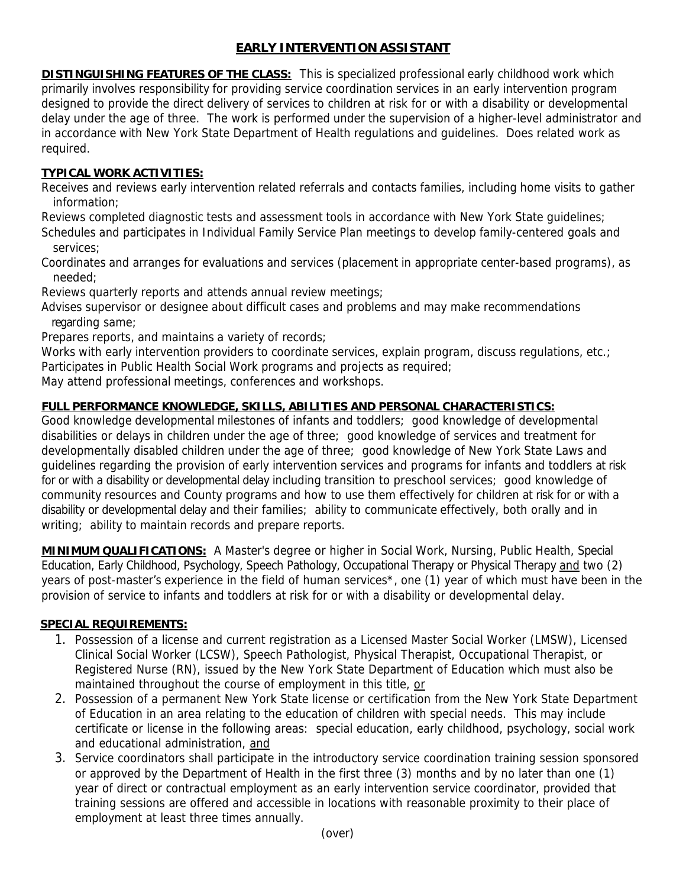## **EARLY INTERVENTION ASSISTANT**

**DISTINGUISHING FEATURES OF THE CLASS:** This is specialized professional early childhood work which primarily involves responsibility for providing service coordination services in an early intervention program designed to provide the direct delivery of services to children at risk for or with a disability or developmental delay under the age of three. The work is performed under the supervision of a higher-level administrator and in accordance with New York State Department of Health regulations and guidelines. Does related work as required.

## **TYPICAL WORK ACTIVITIES:**

Receives and reviews early intervention related referrals and contacts families, including home visits to gather information;

Reviews completed diagnostic tests and assessment tools in accordance with New York State guidelines; Schedules and participates in Individual Family Service Plan meetings to develop family-centered goals and services;

Coordinates and arranges for evaluations and services (placement in appropriate center-based programs), as needed;

Reviews quarterly reports and attends annual review meetings;

Advises supervisor or designee about difficult cases and problems and may make recommendations regarding same;

Prepares reports, and maintains a variety of records;

Works with early intervention providers to coordinate services, explain program, discuss regulations, etc.; Participates in Public Health Social Work programs and projects as required;

May attend professional meetings, conferences and workshops.

## **FULL PERFORMANCE KNOWLEDGE, SKILLS, ABILITIES AND PERSONAL CHARACTERISTICS:**

Good knowledge developmental milestones of infants and toddlers; good knowledge of developmental disabilities or delays in children under the age of three; good knowledge of services and treatment for developmentally disabled children under the age of three; good knowledge of New York State Laws and guidelines regarding the provision of early intervention services and programs for infants and toddlers at risk for or with a disability or developmental delay including transition to preschool services; good knowledge of community resources and County programs and how to use them effectively for children at risk for or with a disability or developmental delay and their families; ability to communicate effectively, both orally and in writing; ability to maintain records and prepare reports.

**MINIMUM QUALIFICATIONS:** A Master's degree or higher in Social Work, Nursing, Public Health, Special Education, Early Childhood, Psychology, Speech Pathology, Occupational Therapy or Physical Therapy and two (2) years of post-master's experience in the field of human services\*, one (1) year of which must have been in the provision of service to infants and toddlers at risk for or with a disability or developmental delay.

## **SPECIAL REQUIREMENTS:**

- 1. Possession of a license and current registration as a Licensed Master Social Worker (LMSW), Licensed Clinical Social Worker (LCSW), Speech Pathologist, Physical Therapist, Occupational Therapist, or Registered Nurse (RN), issued by the New York State Department of Education which must also be maintained throughout the course of employment in this title, or
- 2. Possession of a permanent New York State license or certification from the New York State Department of Education in an area relating to the education of children with special needs. This may include certificate or license in the following areas: special education, early childhood, psychology, social work and educational administration, and
- 3. Service coordinators shall participate in the introductory service coordination training session sponsored or approved by the Department of Health in the first three (3) months and by no later than one (1) year of direct or contractual employment as an early intervention service coordinator, provided that training sessions are offered and accessible in locations with reasonable proximity to their place of employment at least three times annually.